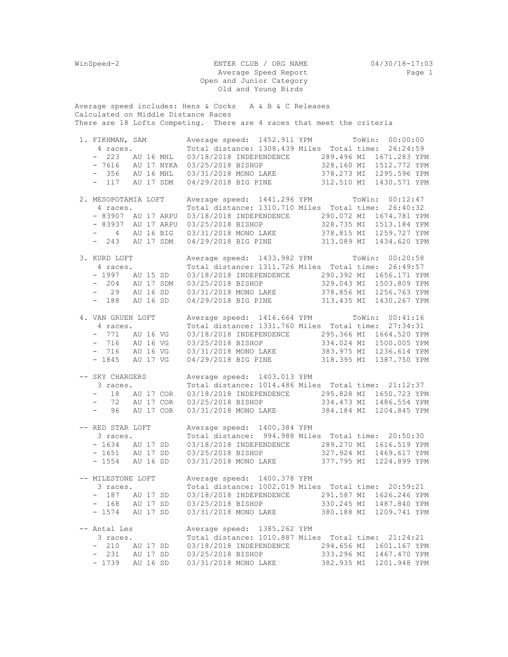| WinSpeed-2                                                                                                       | ENTER CLUB / ORG NAME<br>Average Speed Report<br>Open and Junior Category                                                                                                                                                                                                                                                                                                    | 04/30/18-17:03<br>Page 1                                                      |
|------------------------------------------------------------------------------------------------------------------|------------------------------------------------------------------------------------------------------------------------------------------------------------------------------------------------------------------------------------------------------------------------------------------------------------------------------------------------------------------------------|-------------------------------------------------------------------------------|
|                                                                                                                  | Old and Young Birds                                                                                                                                                                                                                                                                                                                                                          |                                                                               |
| Calculated on Middle Distance Races                                                                              | Average speed includes: Hens & Cocks A & B & C Releases<br>There are 18 Lofts Competing. There are 4 races that meet the criteria                                                                                                                                                                                                                                            |                                                                               |
| 1. FIKHMAN, SAM                                                                                                  | Average speed: 1452.911 YPM ToWin: 00:00:00<br>4 races. Total distance: 1308.439 Miles Total time: 26:24:59<br>- 223 AU 16 MHL 03/18/2018 INDEPENDENCE 289.496 MI 1671.283 YPM<br>- 7616 AU 17 NYKA 03/25/2018 BISHOP 328.160 MI 1512.772 YPM<br>- 356 AU 16 MHL 03/31/2018 MONO LAKE 378.273 MI 1295.596 YPM<br>- 117 AU 17 SDM 04/29/2018 BIG PINE 312.510 MI 1430.571 YPM |                                                                               |
| 2. MESOPOTAMIA LOFT<br>4 races.<br>- 83907 AU 17 ARPU<br>- 83937 AU 17 ARPU<br>$-4$ AU 16 BIG<br>- 243 AU 17 SDM | Average speed: 1441.296 YPM ToWin: 00:12:47<br>Total distance: 1310.710 Miles Total time: 26:40:32<br>03/18/2018 INDEPENDENCE 290.072 MI 1674.781 YPM<br>03/25/2018 BISHOP 328.735 MI 1513.184 YPM<br>03/31/2018 MONO LAKE 378.815 MI 1259.727 YPM<br>04/29/2018 BIG PINE 313.089 MI 1434.620 YPM                                                                            |                                                                               |
| 3. KURD LOFT<br>4 races.<br>- 1997 AU 15 SD<br>- 204 AU 17 SDM<br>$-$ 29 AU 16 SD<br>$-188$<br>AU 16 SD          | Average speed: 1433.982 YPM ToWin: 00:20:58<br>Total distance: 1311.726 Miles Total time: 26:49:57<br>03/18/2018 INDEPENDENCE 290.392 MI 1656.171 YPM<br>03/25/2018 BISHOP 329.043 MI 1503.809 YPM<br>03/31/2018 MONO LAKE 378.856 MI 1256.763 YPM<br>04/29/2018 BIG PINE 313.435 MI 1430.267 YPM                                                                            |                                                                               |
| 4. VAN GRUEN LOFT<br>4 races.<br>- 771 AU 16 VG<br>- 716 AU 16 VG<br>- 716 AU 16 VG<br>- 1845 AU 17 VG           | Average speed: 1416.664 YPM ToWin: 00:41:16<br>Total distance: 1331.760 Miles Total time: 27:34:31<br>03/18/2018 INDEPENDENCE 295.366 MI 1664.520 YPM<br>03/25/2018 BISHOP 334.024 MI 1500.005 YPM<br>03/31/2018 MONO LAKE 383.975 MI 1236.614 YPM<br>04/29/2018 BIG PINE 318.395 MI 1387.750 YPM                                                                            |                                                                               |
| -- SKY CHARGERS<br>3 races.<br>96<br>$\frac{1}{2}$ and $\frac{1}{2}$<br>AU 17 COR                                | Average speed: 1403.013 YPM<br>Total distance: 1014.486 Miles Total time: 21:12:37<br>- 18 AU 17 COR 03/18/2018 INDEPENDENCE 295.828 MI 1650.723 YPM<br>- 72 AU 17 COR 03/25/2018 BISHOP 334.473 MI 1486.554 YPM<br>03/31/2018 MONO LAKE 384.184 MI 1204.845 YPM                                                                                                             |                                                                               |
| -- RED STAR LOFT<br>3 races.<br>$-1634$ AU 17 SD<br>- 1651 AU 17 SD<br>$-1554$ AU 16 SD                          | Average speed: 1400.384 YPM<br>Total distance: 994.988 Miles Total time: 20:50:30<br>03/18/2018 INDEPENDENCE 289.270 MI 1616.519 YPM<br>03/25/2018 BISHOP<br>03/31/2018 MONO LAKE                                                                                                                                                                                            | 327.924 MI 1469.617 YPM<br>377.795 MI 1224.899 YPM                            |
| -- MILESTONE LOFT<br>3 races.<br>$-187$<br>AU 17 SD<br>- 168 AU 17 SD<br>- 1574 AU 17 SD                         | Average speed: 1400.378 YPM<br>Total distance: 1002.019 Miles Total time: 20:59:21<br>03/18/2018 INDEPENDENCE 291.587 MI 1626.246 YPM<br>03/25/2018 BISHOP                                                                                                                                                                                                                   | 330.245 MI 1487.840 YPM                                                       |
| -- Antal Les<br>3 races.<br>$-210$<br>AU 17 SD<br>- 231 AU 17 SD<br>$-1739$ AU 16 SD                             | Average speed: 1385.262 YPM<br>Total distance: 1010.887 Miles Total time: 21:24:21<br>03/18/2018 INDEPENDENCE<br>03/25/2018 BISHOP<br>03/31/2018 MONO LAKE                                                                                                                                                                                                                   | 294.656 MI 1601.167 YPM<br>333.296 MI 1467.470 YPM<br>382.935 MI 1201.948 YPM |